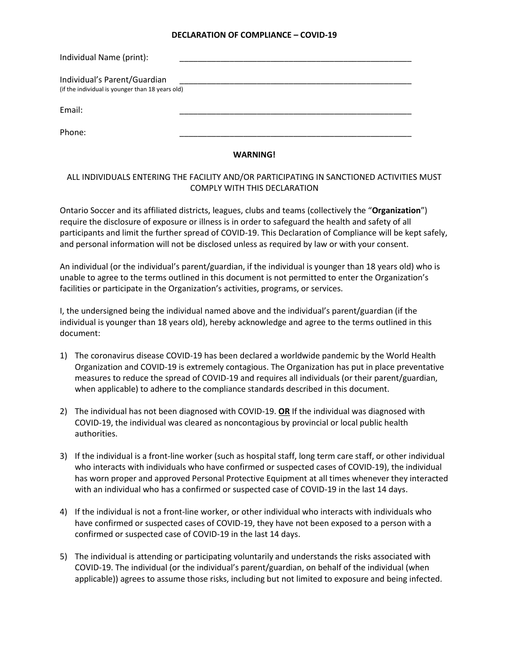## **DECLARATION OF COMPLIANCE – COVID-19**

| Individual Name (print):                                                         |  |
|----------------------------------------------------------------------------------|--|
| Individual's Parent/Guardian<br>(if the individual is younger than 18 years old) |  |
| Email:                                                                           |  |
| Phone:                                                                           |  |

## **WARNING!**

## ALL INDIVIDUALS ENTERING THE FACILITY AND/OR PARTICIPATING IN SANCTIONED ACTIVITIES MUST COMPLY WITH THIS DECLARATION

Ontario Soccer and its affiliated districts, leagues, clubs and teams (collectively the "**Organization**") require the disclosure of exposure or illness is in order to safeguard the health and safety of all participants and limit the further spread of COVID-19. This Declaration of Compliance will be kept safely, and personal information will not be disclosed unless as required by law or with your consent.

An individual (or the individual's parent/guardian, if the individual is younger than 18 years old) who is unable to agree to the terms outlined in this document is not permitted to enter the Organization's facilities or participate in the Organization's activities, programs, or services.

I, the undersigned being the individual named above and the individual's parent/guardian (if the individual is younger than 18 years old), hereby acknowledge and agree to the terms outlined in this document:

- 1) The coronavirus disease COVID-19 has been declared a worldwide pandemic by the World Health Organization and COVID-19 is extremely contagious. The Organization has put in place preventative measures to reduce the spread of COVID-19 and requires all individuals (or their parent/guardian, when applicable) to adhere to the compliance standards described in this document.
- 2) The individual has not been diagnosed with COVID-19. **OR** If the individual was diagnosed with COVID-19, the individual was cleared as noncontagious by provincial or local public health authorities.
- 3) If the individual is a front-line worker (such as hospital staff, long term care staff, or other individual who interacts with individuals who have confirmed or suspected cases of COVID-19), the individual has worn proper and approved Personal Protective Equipment at all times whenever they interacted with an individual who has a confirmed or suspected case of COVID-19 in the last 14 days.
- 4) If the individual is not a front-line worker, or other individual who interacts with individuals who have confirmed or suspected cases of COVID-19, they have not been exposed to a person with a confirmed or suspected case of COVID-19 in the last 14 days.
- 5) The individual is attending or participating voluntarily and understands the risks associated with COVID-19. The individual (or the individual's parent/guardian, on behalf of the individual (when applicable)) agrees to assume those risks, including but not limited to exposure and being infected.